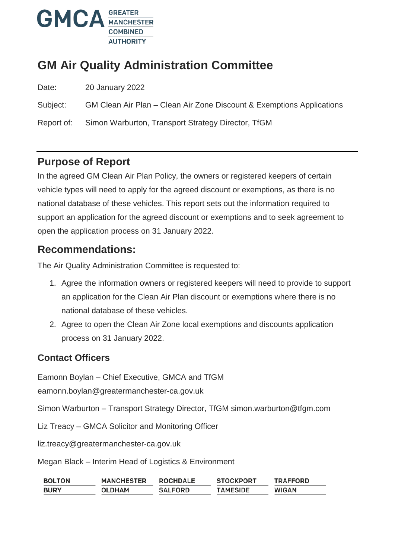

# **GM Air Quality Administration Committee**

Date: 20 January 2022

Subject: GM Clean Air Plan – Clean Air Zone Discount & Exemptions Applications

Report of: Simon Warburton, Transport Strategy Director, TfGM

### **Purpose of Report**

In the agreed GM Clean Air Plan Policy, the owners or registered keepers of certain vehicle types will need to apply for the agreed discount or exemptions, as there is no national database of these vehicles. This report sets out the information required to support an application for the agreed discount or exemptions and to seek agreement to open the application process on 31 January 2022.

### **Recommendations:**

The Air Quality Administration Committee is requested to:

- 1. Agree the information owners or registered keepers will need to provide to support an application for the Clean Air Plan discount or exemptions where there is no national database of these vehicles.
- 2. Agree to open the Clean Air Zone local exemptions and discounts application process on 31 January 2022.

### **Contact Officers**

Eamonn Boylan – Chief Executive, GMCA and TfGM

eamonn.boylan@greatermanchester-ca.gov.uk

Simon Warburton – Transport Strategy Director, TfGM simon.warburton@tfgm.com

Liz Treacy – GMCA Solicitor and Monitoring Officer

liz.treacy@greatermanchester-ca.gov.uk

Megan Black – Interim Head of Logistics & Environment

| <b>BOLTON</b> | <b>MANCHESTER</b> | <b>ROCHDALE</b> | <b>STOCKPORT</b> | <b>TRAFFORD</b> |
|---------------|-------------------|-----------------|------------------|-----------------|
| <b>BURY</b>   | <b>OLDHAM</b>     | <b>SALFORD</b>  | <b>TAMESIDE</b>  | <b>WIGAN</b>    |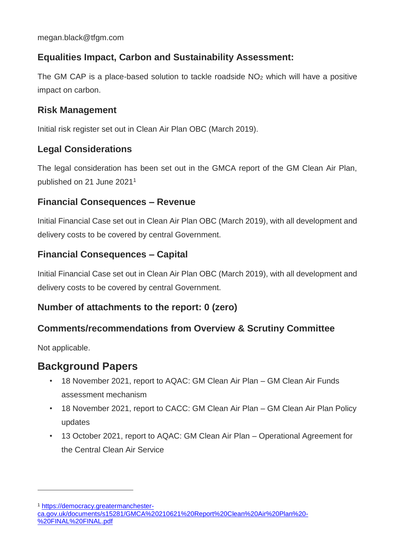### **Equalities Impact, Carbon and Sustainability Assessment:**

The GM CAP is a place-based solution to tackle roadside NO<sub>2</sub> which will have a positive impact on carbon.

#### **Risk Management**

Initial risk register set out in Clean Air Plan OBC (March 2019).

#### **Legal Considerations**

The legal consideration has been set out in the GMCA report of the GM Clean Air Plan, published on 21 June 2021<sup>1</sup>

#### **Financial Consequences – Revenue**

Initial Financial Case set out in Clean Air Plan OBC (March 2019), with all development and delivery costs to be covered by central Government.

#### **Financial Consequences – Capital**

Initial Financial Case set out in Clean Air Plan OBC (March 2019), with all development and delivery costs to be covered by central Government.

#### **Number of attachments to the report: 0 (zero)**

### **Comments/recommendations from Overview & Scrutiny Committee**

Not applicable.

 $\overline{a}$ 

### **Background Papers**

- 18 November 2021, report to AQAC: GM Clean Air Plan GM Clean Air Funds assessment mechanism
- 18 November 2021, report to CACC: GM Clean Air Plan GM Clean Air Plan Policy updates
- 13 October 2021, report to AQAC: GM Clean Air Plan Operational Agreement for the Central Clean Air Service

<sup>1</sup> [https://democracy.greatermanchester-](https://democracy.greatermanchester-ca.gov.uk/documents/s15281/GMCA%20210621%20Report%20Clean%20Air%20Plan%20-%20FINAL%20FINAL.pdf)

[ca.gov.uk/documents/s15281/GMCA%20210621%20Report%20Clean%20Air%20Plan%20-](https://democracy.greatermanchester-ca.gov.uk/documents/s15281/GMCA%20210621%20Report%20Clean%20Air%20Plan%20-%20FINAL%20FINAL.pdf) [%20FINAL%20FINAL.pdf](https://democracy.greatermanchester-ca.gov.uk/documents/s15281/GMCA%20210621%20Report%20Clean%20Air%20Plan%20-%20FINAL%20FINAL.pdf)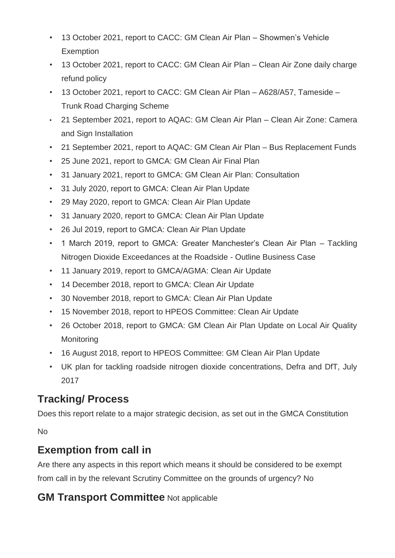- 13 October 2021, report to CACC: GM Clean Air Plan Showmen's Vehicle **Exemption**
- 13 October 2021, report to CACC: GM Clean Air Plan Clean Air Zone daily charge refund policy
- 13 October 2021, report to CACC: GM Clean Air Plan A628/A57, Tameside Trunk Road Charging Scheme
- 21 September 2021, report to AQAC: GM Clean Air Plan Clean Air Zone: Camera and Sign Installation
- 21 September 2021, report to AQAC: GM Clean Air Plan Bus Replacement Funds
- 25 June 2021, report to GMCA: GM Clean Air Final Plan
- 31 January 2021, report to GMCA: GM Clean Air Plan: Consultation
- 31 July 2020, report to GMCA: Clean Air Plan Update
- 29 May 2020, report to GMCA: Clean Air Plan Update
- 31 January 2020, report to GMCA: Clean Air Plan Update
- 26 Jul 2019, report to GMCA: Clean Air Plan Update
- 1 March 2019, report to GMCA: Greater Manchester's Clean Air Plan Tackling Nitrogen Dioxide Exceedances at the Roadside - Outline Business Case
- 11 January 2019, report to GMCA/AGMA: Clean Air Update
- 14 December 2018, report to GMCA: Clean Air Update
- 30 November 2018, report to GMCA: Clean Air Plan Update
- 15 November 2018, report to HPEOS Committee: Clean Air Update
- 26 October 2018, report to GMCA: GM Clean Air Plan Update on Local Air Quality **Monitoring**
- 16 August 2018, report to HPEOS Committee: GM Clean Air Plan Update
- UK plan for tackling roadside nitrogen dioxide concentrations, Defra and DfT, July 2017

# **Tracking/ Process**

Does this report relate to a major strategic decision, as set out in the GMCA Constitution

No

## **Exemption from call in**

Are there any aspects in this report which means it should be considered to be exempt from call in by the relevant Scrutiny Committee on the grounds of urgency? No

## **GM Transport Committee** Not applicable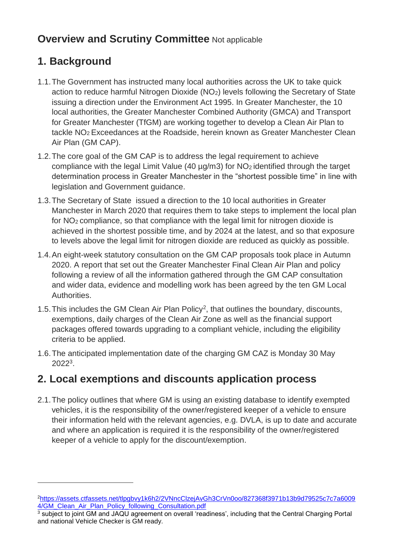## **Overview and Scrutiny Committee Not applicable**

# **1. Background**

 $\overline{a}$ 

- 1.1.The Government has instructed many local authorities across the UK to take quick action to reduce harmful Nitrogen Dioxide (NO2) levels following the Secretary of State issuing a direction under the Environment Act 1995. In Greater Manchester, the 10 local authorities, the Greater Manchester Combined Authority (GMCA) and Transport for Greater Manchester (TfGM) are working together to develop a Clean Air Plan to tackle NO<sup>2</sup> Exceedances at the Roadside, herein known as Greater Manchester Clean Air Plan (GM CAP).
- 1.2.The core goal of the GM CAP is to address the legal requirement to achieve compliance with the legal Limit Value (40  $\mu$ g/m3) for NO<sub>2</sub> identified through the target determination process in Greater Manchester in the "shortest possible time" in line with legislation and Government guidance.
- 1.3.The Secretary of State issued a direction to the 10 local authorities in Greater Manchester in March 2020 that requires them to take steps to implement the local plan for NO<sup>2</sup> compliance, so that compliance with the legal limit for nitrogen dioxide is achieved in the shortest possible time, and by 2024 at the latest, and so that exposure to levels above the legal limit for nitrogen dioxide are reduced as quickly as possible.
- 1.4.An eight-week statutory consultation on the GM CAP proposals took place in Autumn 2020. A report that set out the Greater Manchester Final Clean Air Plan and policy following a review of all the information gathered through the GM CAP consultation and wider data, evidence and modelling work has been agreed by the ten GM Local Authorities.
- 1.5. This includes the GM Clean Air Plan Policy<sup>2</sup>, that outlines the boundary, discounts, exemptions, daily charges of the Clean Air Zone as well as the financial support packages offered towards upgrading to a compliant vehicle, including the eligibility criteria to be applied.
- 1.6.The anticipated implementation date of the charging GM CAZ is Monday 30 May 2022<sup>3</sup> .

## **2. Local exemptions and discounts application process**

2.1.The policy outlines that where GM is using an existing database to identify exempted vehicles, it is the responsibility of the owner/registered keeper of a vehicle to ensure their information held with the relevant agencies, e.g. DVLA, is up to date and accurate and where an application is required it is the responsibility of the owner/registered keeper of a vehicle to apply for the discount/exemption.

<sup>2</sup>[https://assets.ctfassets.net/tlpgbvy1k6h2/2VNncClzejAvGh3CrVn0oo/827368f3971b13b9d79525c7c7a6009](https://assets.ctfassets.net/tlpgbvy1k6h2/2VNncClzejAvGh3CrVn0oo/827368f3971b13b9d79525c7c7a60094/GM_Clean_Air_Plan_Policy_following_Consultation.pdf) [4/GM\\_Clean\\_Air\\_Plan\\_Policy\\_following\\_Consultation.pdf](https://assets.ctfassets.net/tlpgbvy1k6h2/2VNncClzejAvGh3CrVn0oo/827368f3971b13b9d79525c7c7a60094/GM_Clean_Air_Plan_Policy_following_Consultation.pdf)

<sup>3</sup> subject to joint GM and JAQU agreement on overall 'readiness', including that the Central Charging Portal and national Vehicle Checker is GM ready.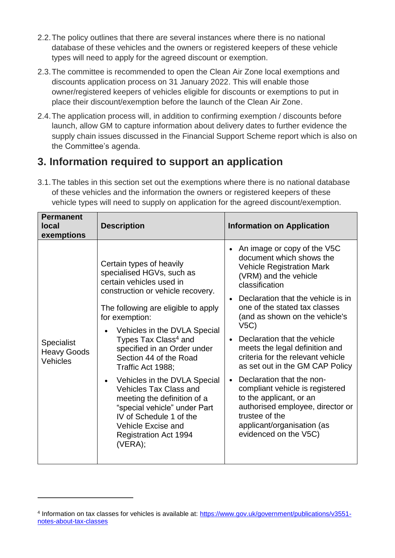- 2.2.The policy outlines that there are several instances where there is no national database of these vehicles and the owners or registered keepers of these vehicle types will need to apply for the agreed discount or exemption.
- 2.3.The committee is recommended to open the Clean Air Zone local exemptions and discounts application process on 31 January 2022. This will enable those owner/registered keepers of vehicles eligible for discounts or exemptions to put in place their discount/exemption before the launch of the Clean Air Zone.
- 2.4.The application process will, in addition to confirming exemption / discounts before launch, allow GM to capture information about delivery dates to further evidence the supply chain issues discussed in the Financial Support Scheme report which is also on the Committee's agenda.

## **3. Information required to support an application**

3.1.The tables in this section set out the exemptions where there is no national database of these vehicles and the information the owners or registered keepers of these vehicle types will need to supply on application for the agreed discount/exemption.

| <b>Permanent</b><br>local<br>exemptions             | <b>Description</b>                                                                                                                                                                                                                                                                                                                                                                                                                                                                                                                                                   | <b>Information on Application</b>                                                                                                                                                                                                                                                                                                                                                                                                                                                                                                                                                                        |
|-----------------------------------------------------|----------------------------------------------------------------------------------------------------------------------------------------------------------------------------------------------------------------------------------------------------------------------------------------------------------------------------------------------------------------------------------------------------------------------------------------------------------------------------------------------------------------------------------------------------------------------|----------------------------------------------------------------------------------------------------------------------------------------------------------------------------------------------------------------------------------------------------------------------------------------------------------------------------------------------------------------------------------------------------------------------------------------------------------------------------------------------------------------------------------------------------------------------------------------------------------|
| <b>Specialist</b><br><b>Heavy Goods</b><br>Vehicles | Certain types of heavily<br>specialised HGVs, such as<br>certain vehicles used in<br>construction or vehicle recovery.<br>The following are eligible to apply<br>for exemption:<br>Vehicles in the DVLA Special<br>Types Tax Class <sup>4</sup> and<br>specified in an Order under<br>Section 44 of the Road<br>Traffic Act 1988;<br>Vehicles in the DVLA Special<br><b>Vehicles Tax Class and</b><br>meeting the definition of a<br>"special vehicle" under Part<br>IV of Schedule 1 of the<br><b>Vehicle Excise and</b><br><b>Registration Act 1994</b><br>(VERA); | An image or copy of the V5C<br>document which shows the<br><b>Vehicle Registration Mark</b><br>(VRM) and the vehicle<br>classification<br>Declaration that the vehicle is in<br>one of the stated tax classes<br>(and as shown on the vehicle's<br>V5C<br>Declaration that the vehicle<br>meets the legal definition and<br>criteria for the relevant vehicle<br>as set out in the GM CAP Policy<br>Declaration that the non-<br>compliant vehicle is registered<br>to the applicant, or an<br>authorised employee, director or<br>trustee of the<br>applicant/organisation (as<br>evidenced on the V5C) |

 $\overline{a}$ 

<sup>4</sup> Information on tax classes for vehicles is available at: [https://www.gov.uk/government/publications/v3551](https://www.gov.uk/government/publications/v3551-notes-about-tax-classes) [notes-about-tax-classes](https://www.gov.uk/government/publications/v3551-notes-about-tax-classes)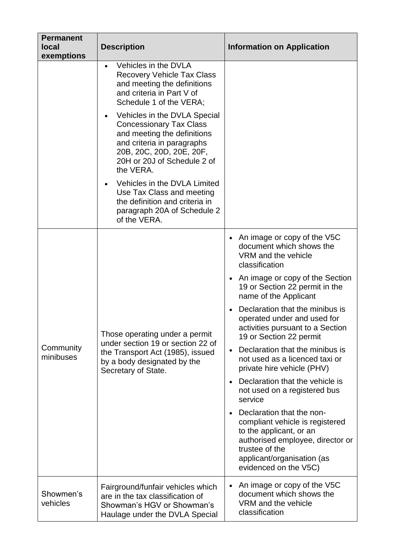| <b>Permanent</b><br><b>local</b><br>exemptions | <b>Description</b>                                                                                                                                                                                  | <b>Information on Application</b>                                                                                                                                                                    |
|------------------------------------------------|-----------------------------------------------------------------------------------------------------------------------------------------------------------------------------------------------------|------------------------------------------------------------------------------------------------------------------------------------------------------------------------------------------------------|
|                                                | Vehicles in the DVLA<br>$\bullet$<br><b>Recovery Vehicle Tax Class</b><br>and meeting the definitions<br>and criteria in Part V of<br>Schedule 1 of the VERA;                                       |                                                                                                                                                                                                      |
|                                                | Vehicles in the DVLA Special<br><b>Concessionary Tax Class</b><br>and meeting the definitions<br>and criteria in paragraphs<br>20B, 20C, 20D, 20E, 20F,<br>20H or 20J of Schedule 2 of<br>the VERA. |                                                                                                                                                                                                      |
|                                                | Vehicles in the DVLA Limited<br>Use Tax Class and meeting<br>the definition and criteria in<br>paragraph 20A of Schedule 2<br>of the VERA.                                                          |                                                                                                                                                                                                      |
| Community<br>minibuses                         | Those operating under a permit<br>under section 19 or section 22 of<br>the Transport Act (1985), issued<br>by a body designated by the<br>Secretary of State.                                       | An image or copy of the V5C<br>document which shows the<br>VRM and the vehicle<br>classification                                                                                                     |
|                                                |                                                                                                                                                                                                     | • An image or copy of the Section<br>19 or Section 22 permit in the<br>name of the Applicant                                                                                                         |
|                                                |                                                                                                                                                                                                     | Declaration that the minibus is<br>operated under and used for<br>activities pursuant to a Section<br>19 or Section 22 permit                                                                        |
|                                                |                                                                                                                                                                                                     | Declaration that the minibus is<br>not used as a licenced taxi or<br>private hire vehicle (PHV)                                                                                                      |
|                                                |                                                                                                                                                                                                     | Declaration that the vehicle is<br>not used on a registered bus<br>service                                                                                                                           |
|                                                |                                                                                                                                                                                                     | Declaration that the non-<br>compliant vehicle is registered<br>to the applicant, or an<br>authorised employee, director or<br>trustee of the<br>applicant/organisation (as<br>evidenced on the V5C) |
| Showmen's<br>vehicles                          | Fairground/funfair vehicles which<br>are in the tax classification of<br>Showman's HGV or Showman's<br>Haulage under the DVLA Special                                                               | An image or copy of the V5C<br>document which shows the<br>VRM and the vehicle<br>classification                                                                                                     |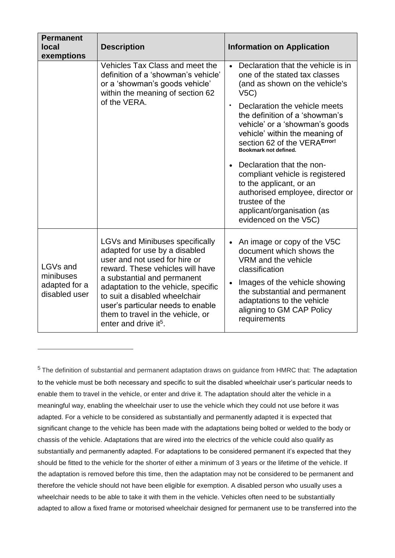| <b>Permanent</b><br><b>local</b><br>exemptions          | <b>Description</b>                                                                                                                                                                                                                                                                                                                                                 | <b>Information on Application</b>                                                                                                                                                                                                                          |
|---------------------------------------------------------|--------------------------------------------------------------------------------------------------------------------------------------------------------------------------------------------------------------------------------------------------------------------------------------------------------------------------------------------------------------------|------------------------------------------------------------------------------------------------------------------------------------------------------------------------------------------------------------------------------------------------------------|
|                                                         | Vehicles Tax Class and meet the<br>definition of a 'showman's vehicle'<br>or a 'showman's goods vehicle'<br>within the meaning of section 62<br>of the VERA.                                                                                                                                                                                                       | Declaration that the vehicle is in<br>$\bullet$<br>one of the stated tax classes<br>(and as shown on the vehicle's<br>V5C<br>Declaration the vehicle meets<br>$\bullet$                                                                                    |
|                                                         |                                                                                                                                                                                                                                                                                                                                                                    | the definition of a 'showman's<br>vehicle' or a 'showman's goods<br>vehicle' within the meaning of<br>section 62 of the VERAError!<br>Bookmark not defined.                                                                                                |
|                                                         |                                                                                                                                                                                                                                                                                                                                                                    | Declaration that the non-<br>compliant vehicle is registered<br>to the applicant, or an<br>authorised employee, director or<br>trustee of the<br>applicant/organisation (as<br>evidenced on the V5C)                                                       |
| LGVs and<br>minibuses<br>adapted for a<br>disabled user | <b>LGVs and Minibuses specifically</b><br>adapted for use by a disabled<br>user and not used for hire or<br>reward. These vehicles will have<br>a substantial and permanent<br>adaptation to the vehicle, specific<br>to suit a disabled wheelchair<br>user's particular needs to enable<br>them to travel in the vehicle, or<br>enter and drive it <sup>5</sup> . | An image or copy of the V5C<br>$\bullet$<br>document which shows the<br>VRM and the vehicle<br>classification<br>Images of the vehicle showing<br>the substantial and permanent<br>adaptations to the vehicle<br>aligning to GM CAP Policy<br>requirements |

 $\overline{a}$ 

 $5$  The definition of substantial and permanent adaptation draws on guidance from HMRC that: The adaptation to the vehicle must be both necessary and specific to suit the disabled wheelchair user's particular needs to enable them to travel in the vehicle, or enter and drive it. The adaptation should alter the vehicle in a meaningful way, enabling the wheelchair user to use the vehicle which they could not use before it was adapted. For a vehicle to be considered as substantially and permanently adapted it is expected that significant change to the vehicle has been made with the adaptations being bolted or welded to the body or chassis of the vehicle. Adaptations that are wired into the electrics of the vehicle could also qualify as substantially and permanently adapted. For adaptations to be considered permanent it's expected that they should be fitted to the vehicle for the shorter of either a minimum of 3 years or the lifetime of the vehicle. If the adaptation is removed before this time, then the adaptation may not be considered to be permanent and therefore the vehicle should not have been eligible for exemption. A disabled person who usually uses a wheelchair needs to be able to take it with them in the vehicle. Vehicles often need to be substantially adapted to allow a fixed frame or motorised wheelchair designed for permanent use to be transferred into the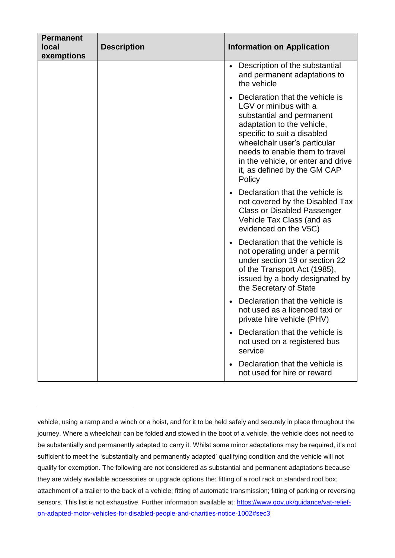| <b>Permanent</b> |                    |                                                                                                                                                                                                                                                                                                      |
|------------------|--------------------|------------------------------------------------------------------------------------------------------------------------------------------------------------------------------------------------------------------------------------------------------------------------------------------------------|
| <b>local</b>     | <b>Description</b> | <b>Information on Application</b>                                                                                                                                                                                                                                                                    |
| exemptions       |                    |                                                                                                                                                                                                                                                                                                      |
|                  |                    | Description of the substantial<br>and permanent adaptations to<br>the vehicle                                                                                                                                                                                                                        |
|                  |                    | Declaration that the vehicle is<br>LGV or minibus with a<br>substantial and permanent<br>adaptation to the vehicle,<br>specific to suit a disabled<br>wheelchair user's particular<br>needs to enable them to travel<br>in the vehicle, or enter and drive<br>it, as defined by the GM CAP<br>Policy |
|                  |                    | Declaration that the vehicle is<br>not covered by the Disabled Tax<br><b>Class or Disabled Passenger</b><br>Vehicle Tax Class (and as<br>evidenced on the V5C)                                                                                                                                       |
|                  |                    | Declaration that the vehicle is<br>not operating under a permit<br>under section 19 or section 22<br>of the Transport Act (1985),<br>issued by a body designated by<br>the Secretary of State                                                                                                        |
|                  |                    | Declaration that the vehicle is<br>not used as a licenced taxi or<br>private hire vehicle (PHV)                                                                                                                                                                                                      |
|                  |                    | Declaration that the vehicle is<br>not used on a registered bus<br>service                                                                                                                                                                                                                           |
|                  |                    | Declaration that the vehicle is<br>not used for hire or reward                                                                                                                                                                                                                                       |

 $\overline{a}$ 

vehicle, using a ramp and a winch or a hoist, and for it to be held safely and securely in place throughout the journey. Where a wheelchair can be folded and stowed in the boot of a vehicle, the vehicle does not need to be substantially and permanently adapted to carry it. Whilst some minor adaptations may be required, it's not sufficient to meet the 'substantially and permanently adapted' qualifying condition and the vehicle will not qualify for exemption. The following are not considered as substantial and permanent adaptations because they are widely available accessories or upgrade options the: fitting of a roof rack or standard roof box; attachment of a trailer to the back of a vehicle; fitting of automatic transmission; fitting of parking or reversing sensors. This list is not exhaustive. Further information available at: [https://www.gov.uk/guidance/vat-relief](https://www.gov.uk/guidance/vat-relief-on-adapted-motor-vehicles-for-disabled-people-and-charities-notice-1002#sec3)[on-adapted-motor-vehicles-for-disabled-people-and-charities-notice-1002#sec3](https://www.gov.uk/guidance/vat-relief-on-adapted-motor-vehicles-for-disabled-people-and-charities-notice-1002#sec3)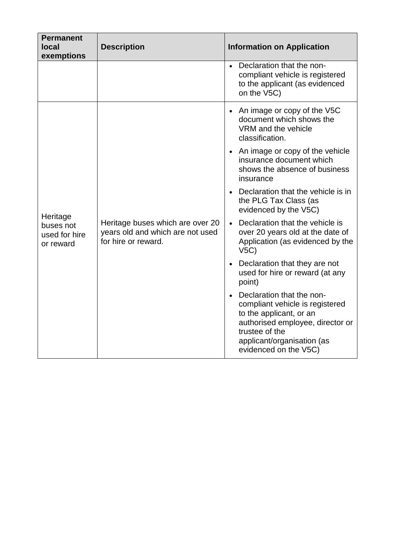| <b>Permanent</b><br>local<br>exemptions             | <b>Description</b>                                                                          | <b>Information on Application</b>                                                                                                                                                                    |
|-----------------------------------------------------|---------------------------------------------------------------------------------------------|------------------------------------------------------------------------------------------------------------------------------------------------------------------------------------------------------|
|                                                     |                                                                                             | Declaration that the non-<br>compliant vehicle is registered<br>to the applicant (as evidenced<br>on the V5C)                                                                                        |
| Heritage<br>buses not<br>used for hire<br>or reward | Heritage buses which are over 20<br>years old and which are not used<br>for hire or reward. | • An image or copy of the V5C<br>document which shows the<br>VRM and the vehicle<br>classification.                                                                                                  |
|                                                     |                                                                                             | • An image or copy of the vehicle<br>insurance document which<br>shows the absence of business<br>insurance                                                                                          |
|                                                     |                                                                                             | • Declaration that the vehicle is in<br>the PLG Tax Class (as<br>evidenced by the V5C)                                                                                                               |
|                                                     |                                                                                             | Declaration that the vehicle is<br>$\bullet$<br>over 20 years old at the date of<br>Application (as evidenced by the<br>V5C                                                                          |
|                                                     |                                                                                             | Declaration that they are not<br>used for hire or reward (at any<br>point)                                                                                                                           |
|                                                     |                                                                                             | Declaration that the non-<br>compliant vehicle is registered<br>to the applicant, or an<br>authorised employee, director or<br>trustee of the<br>applicant/organisation (as<br>evidenced on the V5C) |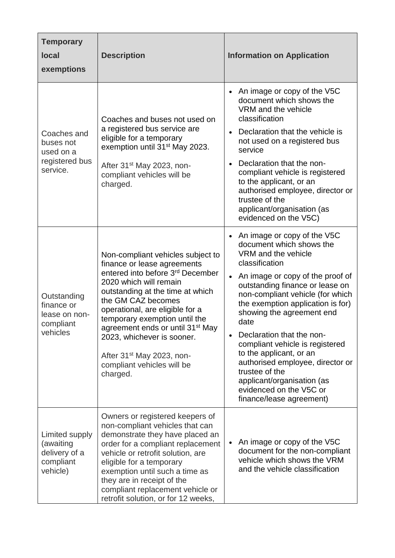| <b>Temporary</b><br><b>local</b><br>exemptions                        | <b>Description</b>                                                                                                                                                                                                                                                                                                                                                                                                                        | <b>Information on Application</b>                                                                                                                                                                                                                                                                                                                                                                                                                                                                                           |
|-----------------------------------------------------------------------|-------------------------------------------------------------------------------------------------------------------------------------------------------------------------------------------------------------------------------------------------------------------------------------------------------------------------------------------------------------------------------------------------------------------------------------------|-----------------------------------------------------------------------------------------------------------------------------------------------------------------------------------------------------------------------------------------------------------------------------------------------------------------------------------------------------------------------------------------------------------------------------------------------------------------------------------------------------------------------------|
| Coaches and<br>buses not<br>used on a<br>registered bus<br>service.   | Coaches and buses not used on<br>a registered bus service are<br>eligible for a temporary<br>exemption until 31 <sup>st</sup> May 2023.<br>After 31 <sup>st</sup> May 2023, non-<br>compliant vehicles will be<br>charged.                                                                                                                                                                                                                | An image or copy of the V5C<br>document which shows the<br>VRM and the vehicle<br>classification<br>Declaration that the vehicle is<br>not used on a registered bus<br>service<br>Declaration that the non-<br>compliant vehicle is registered<br>to the applicant, or an<br>authorised employee, director or<br>trustee of the<br>applicant/organisation (as<br>evidenced on the V5C)                                                                                                                                      |
| Outstanding<br>finance or<br>lease on non-<br>compliant<br>vehicles   | Non-compliant vehicles subject to<br>finance or lease agreements<br>entered into before 3 <sup>rd</sup> December<br>2020 which will remain<br>outstanding at the time at which<br>the GM CAZ becomes<br>operational, are eligible for a<br>temporary exemption until the<br>agreement ends or until 31 <sup>st</sup> May<br>2023, whichever is sooner.<br>After 31 <sup>st</sup> May 2023, non-<br>compliant vehicles will be<br>charged. | An image or copy of the V5C<br>document which shows the<br>VRM and the vehicle<br>classification<br>An image or copy of the proof of<br>outstanding finance or lease on<br>non-compliant vehicle (for which<br>the exemption application is for)<br>showing the agreement end<br>date<br>Declaration that the non-<br>compliant vehicle is registered<br>to the applicant, or an<br>authorised employee, director or<br>trustee of the<br>applicant/organisation (as<br>evidenced on the V5C or<br>finance/lease agreement) |
| Limited supply<br>(awaiting<br>delivery of a<br>compliant<br>vehicle) | Owners or registered keepers of<br>non-compliant vehicles that can<br>demonstrate they have placed an<br>order for a compliant replacement<br>vehicle or retrofit solution, are<br>eligible for a temporary<br>exemption until such a time as<br>they are in receipt of the<br>compliant replacement vehicle or<br>retrofit solution, or for 12 weeks,                                                                                    | An image or copy of the V5C<br>document for the non-compliant<br>vehicle which shows the VRM<br>and the vehicle classification                                                                                                                                                                                                                                                                                                                                                                                              |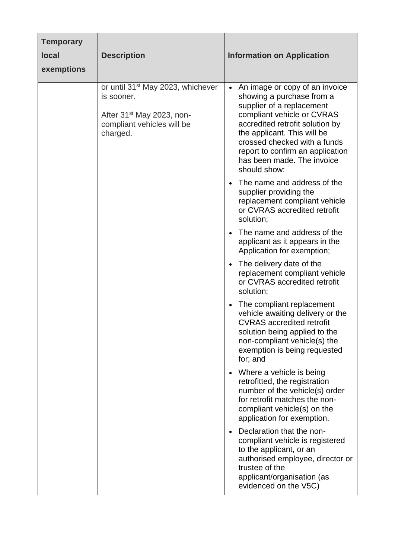| <b>Temporary</b><br><b>local</b><br>exemptions | <b>Description</b>                                                                                                                             | <b>Information on Application</b>                                                                                                                                                                                                                                                                            |
|------------------------------------------------|------------------------------------------------------------------------------------------------------------------------------------------------|--------------------------------------------------------------------------------------------------------------------------------------------------------------------------------------------------------------------------------------------------------------------------------------------------------------|
|                                                | or until 31 <sup>st</sup> May 2023, whichever<br>is sooner.<br>After 31 <sup>st</sup> May 2023, non-<br>compliant vehicles will be<br>charged. | • An image or copy of an invoice<br>showing a purchase from a<br>supplier of a replacement<br>compliant vehicle or CVRAS<br>accredited retrofit solution by<br>the applicant. This will be<br>crossed checked with a funds<br>report to confirm an application<br>has been made. The invoice<br>should show: |
|                                                |                                                                                                                                                | The name and address of the<br>supplier providing the<br>replacement compliant vehicle<br>or CVRAS accredited retrofit<br>solution;                                                                                                                                                                          |
|                                                |                                                                                                                                                | The name and address of the<br>applicant as it appears in the<br>Application for exemption;                                                                                                                                                                                                                  |
|                                                |                                                                                                                                                | The delivery date of the<br>$\bullet$<br>replacement compliant vehicle<br>or CVRAS accredited retrofit<br>solution;                                                                                                                                                                                          |
|                                                |                                                                                                                                                | The compliant replacement<br>vehicle awaiting delivery or the<br><b>CVRAS</b> accredited retrofit<br>solution being applied to the<br>non-compliant vehicle(s) the<br>exemption is being requested<br>for; and                                                                                               |
|                                                |                                                                                                                                                | Where a vehicle is being<br>retrofitted, the registration<br>number of the vehicle(s) order<br>for retrofit matches the non-<br>compliant vehicle(s) on the<br>application for exemption.                                                                                                                    |
|                                                |                                                                                                                                                | Declaration that the non-<br>compliant vehicle is registered<br>to the applicant, or an<br>authorised employee, director or<br>trustee of the<br>applicant/organisation (as<br>evidenced on the V5C)                                                                                                         |